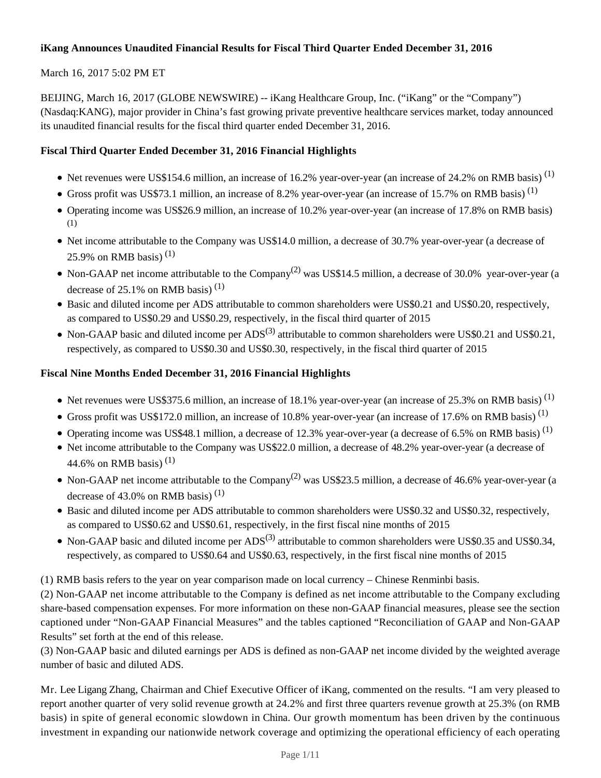## **iKang Announces Unaudited Financial Results for Fiscal Third Quarter Ended December 31, 2016**

## March 16, 2017 5:02 PM ET

BEIJING, March 16, 2017 (GLOBE NEWSWIRE) -- iKang Healthcare Group, Inc. ("iKang" or the "Company") (Nasdaq:KANG), major provider in China's fast growing private preventive healthcare services market, today announced its unaudited financial results for the fiscal third quarter ended December 31, 2016.

## **Fiscal Third Quarter Ended December 31, 2016 Financial Highlights**

- Net revenues were US\$154.6 million, an increase of 16.2% year-over-year (an increase of 24.2% on RMB basis)<sup>(1)</sup>
- Gross profit was US\$73.1 million, an increase of 8.2% year-over-year (an increase of 15.7% on RMB basis)<sup>(1)</sup>
- Operating income was US\$26.9 million, an increase of 10.2% year-over-year (an increase of 17.8% on RMB basis) (1)
- Net income attributable to the Company was US\$14.0 million, a decrease of 30.7% year-over-year (a decrease of 25.9% on RMB basis)<sup>(1)</sup>
- Non-GAAP net income attributable to the Company<sup>(2)</sup> was US\$14.5 million, a decrease of 30.0% year-over-year (a decrease of  $25.1\%$  on RMB basis)<sup>(1)</sup>
- Basic and diluted income per ADS attributable to common shareholders were US\$0.21 and US\$0.20, respectively, as compared to US\$0.29 and US\$0.29, respectively, in the fiscal third quarter of 2015
- Non-GAAP basic and diluted income per  $ADS^{(3)}$  attributable to common shareholders were US\$0.21 and US\$0.21, respectively, as compared to US\$0.30 and US\$0.30, respectively, in the fiscal third quarter of 2015

## **Fiscal Nine Months Ended December 31, 2016 Financial Highlights**

- Net revenues were US\$375.6 million, an increase of 18.1% year-over-year (an increase of 25.3% on RMB basis)<sup>(1)</sup>
- Gross profit was US\$172.0 million, an increase of 10.8% year-over-year (an increase of 17.6% on RMB basis)<sup>(1)</sup>
- Operating income was US\$48.1 million, a decrease of 12.3% year-over-year (a decrease of 6.5% on RMB basis)<sup>(1)</sup>
- Net income attributable to the Company was US\$22.0 million, a decrease of 48.2% year-over-year (a decrease of 44.6% on RMB basis)<sup>(1)</sup>
- Non-GAAP net income attributable to the Company<sup>(2)</sup> was US\$23.5 million, a decrease of 46.6% year-over-year (a decrease of 43.0% on RMB basis)<sup>(1)</sup>
- Basic and diluted income per ADS attributable to common shareholders were US\$0.32 and US\$0.32, respectively, as compared to US\$0.62 and US\$0.61, respectively, in the first fiscal nine months of 2015
- Non-GAAP basic and diluted income per  $ADS^{(3)}$  attributable to common shareholders were US\$0.35 and US\$0.34, respectively, as compared to US\$0.64 and US\$0.63, respectively, in the first fiscal nine months of 2015

(1) RMB basis refers to the year on year comparison made on local currency – Chinese Renminbi basis.

(2) Non-GAAP net income attributable to the Company is defined as net income attributable to the Company excluding share-based compensation expenses. For more information on these non-GAAP financial measures, please see the section captioned under "Non-GAAP Financial Measures" and the tables captioned "Reconciliation of GAAP and Non-GAAP Results" set forth at the end of this release.

(3) Non-GAAP basic and diluted earnings per ADS is defined as non-GAAP net income divided by the weighted average number of basic and diluted ADS.

Mr. Lee Ligang Zhang, Chairman and Chief Executive Officer of iKang, commented on the results. "I am very pleased to report another quarter of very solid revenue growth at 24.2% and first three quarters revenue growth at 25.3% (on RMB basis) in spite of general economic slowdown in China. Our growth momentum has been driven by the continuous investment in expanding our nationwide network coverage and optimizing the operational efficiency of each operating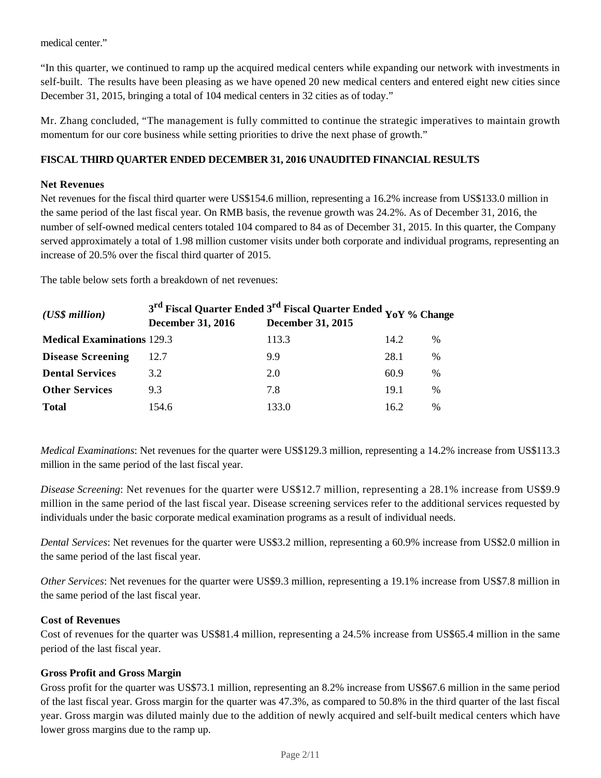medical center."

"In this quarter, we continued to ramp up the acquired medical centers while expanding our network with investments in self-built. The results have been pleasing as we have opened 20 new medical centers and entered eight new cities since December 31, 2015, bringing a total of 104 medical centers in 32 cities as of today."

Mr. Zhang concluded, "The management is fully committed to continue the strategic imperatives to maintain growth momentum for our core business while setting priorities to drive the next phase of growth."

## **FISCAL THIRD QUARTER ENDED DECEMBER 31, 2016 UNAUDITED FINANCIAL RESULTS**

### **Net Revenues**

Net revenues for the fiscal third quarter were US\$154.6 million, representing a 16.2% increase from US\$133.0 million in the same period of the last fiscal year*.* On RMB basis, the revenue growth was 24.2%. As of December 31, 2016, the number of self-owned medical centers totaled 104 compared to 84 as of December 31, 2015. In this quarter, the Company served approximately a total of 1.98 million customer visits under both corporate and individual programs, representing an increase of 20.5% over the fiscal third quarter of 2015.

The table below sets forth a breakdown of net revenues:

| $(US\$ s million                  | 3 <sup>rd</sup> Fiscal Quarter Ended 3 <sup>rd</sup> Fiscal Quarter Ended YoY % Change<br><b>December 31, 2016</b> | <b>December 31, 2015</b> |      |               |
|-----------------------------------|--------------------------------------------------------------------------------------------------------------------|--------------------------|------|---------------|
| <b>Medical Examinations 129.3</b> |                                                                                                                    | 113.3                    | 14.2 | $\%$          |
| <b>Disease Screening</b>          | 12.7                                                                                                               | 9.9                      | 28.1 | %             |
| <b>Dental Services</b>            | 3.2                                                                                                                | 2.0                      | 60.9 | $\%$          |
| <b>Other Services</b>             | 9.3                                                                                                                | 7.8                      | 19.1 | $\frac{0}{0}$ |
| <b>Total</b>                      | 154.6                                                                                                              | 133.0                    | 16.2 | $\frac{0}{0}$ |

*Medical Examinations*: Net revenues for the quarter were US\$129.3 million, representing a 14.2% increase from US\$113.3 million in the same period of the last fiscal year.

*Disease Screening*: Net revenues for the quarter were US\$12.7 million, representing a 28.1% increase from US\$9.9 million in the same period of the last fiscal year. Disease screening services refer to the additional services requested by individuals under the basic corporate medical examination programs as a result of individual needs.

*Dental Services*: Net revenues for the quarter were US\$3.2 million, representing a 60.9% increase from US\$2.0 million in the same period of the last fiscal year.

*Other Services*: Net revenues for the quarter were US\$9.3 million, representing a 19.1% increase from US\$7.8 million in the same period of the last fiscal year.

#### **Cost of Revenues**

Cost of revenues for the quarter was US\$81.4 million, representing a 24.5% increase from US\$65.4 million in the same period of the last fiscal year.

#### **Gross Profit and Gross Margin**

Gross profit for the quarter was US\$73.1 million, representing an 8.2% increase from US\$67.6 million in the same period of the last fiscal year. Gross margin for the quarter was 47.3%, as compared to 50.8% in the third quarter of the last fiscal year. Gross margin was diluted mainly due to the addition of newly acquired and self-built medical centers which have lower gross margins due to the ramp up.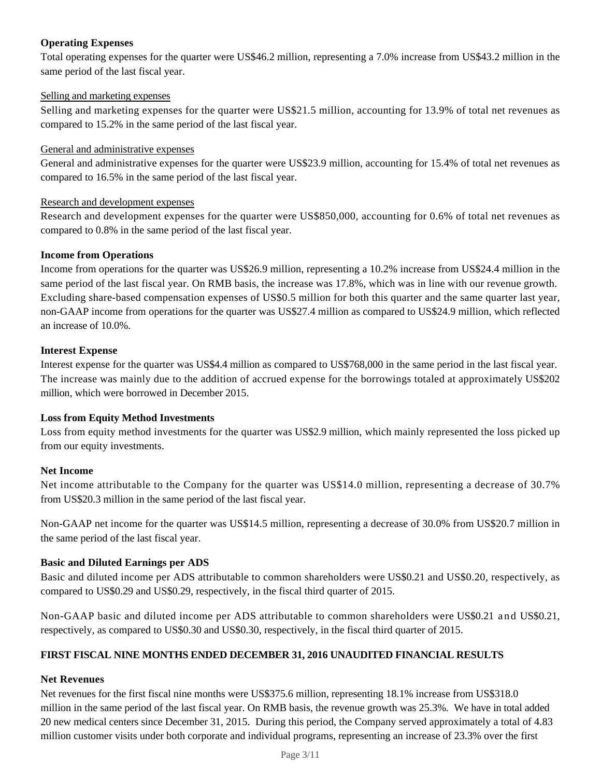## **Operating Expenses**

Total operating expenses for the quarter were US\$46.2 million, representing a 7.0% increase from US\$43.2 million in the same period of the last fiscal year.

#### Selling and marketing expenses

Selling and marketing expenses for the quarter were US\$21.5 million, accounting for 13.9% of total net revenues as compared to 15.2% in the same period of the last fiscal year.

#### General and administrative expenses

General and administrative expenses for the quarter were US\$23.9 million, accounting for 15.4% of total net revenues as compared to 16.5% in the same period of the last fiscal year.

#### Research and development expenses

Research and development expenses for the quarter were US\$850,000, accounting for 0.6% of total net revenues as compared to 0.8% in the same period of the last fiscal year.

#### **Income from Operations**

Income from operations for the quarter was US\$26.9 million, representing a 10.2% increase from US\$24.4 million in the same period of the last fiscal year. On RMB basis, the increase was 17.8%, which was in line with our revenue growth. Excluding share-based compensation expenses of US\$0.5 million for both this quarter and the same quarter last year, non-GAAP income from operations for the quarter was US\$27.4 million as compared to US\$24.9 million, which reflected an increase of 10.0%.

### **Interest Expense**

Interest expense for the quarter was US\$4.4 million as compared to US\$768,000 in the same period in the last fiscal year. The increase was mainly due to the addition of accrued expense for the borrowings totaled at approximately US\$202 million, which were borrowed in December 2015.

#### **Loss from Equity Method Investments**

Loss from equity method investments for the quarter was US\$2.9 million, which mainly represented the loss picked up from our equity investments.

#### **Net Income**

Net income attributable to the Company for the quarter was US\$14.0 million, representing a decrease of 30.7% from US\$20.3 million in the same period of the last fiscal year.

Non-GAAP net income for the quarter was US\$14.5 million, representing a decrease of 30.0% from US\$20.7 million in the same period of the last fiscal year.

#### **Basic and Diluted Earnings per ADS**

Basic and diluted income per ADS attributable to common shareholders were US\$0.21 and US\$0.20, respectively, as compared to US\$0.29 and US\$0.29, respectively, in the fiscal third quarter of 2015.

Non-GAAP basic and diluted income per ADS attributable to common shareholders were US\$0.21 and US\$0.21, respectively, as compared to US\$0.30 and US\$0.30, respectively, in the fiscal third quarter of 2015.

### **FIRST FISCAL NINE MONTHS ENDED DECEMBER 31, 2016 UNAUDITED FINANCIAL RESULTS**

#### **Net Revenues**

Net revenues for the first fiscal nine months were US\$375.6 million, representing 18.1% increase from US\$318.0 million in the same period of the last fiscal year. On RMB basis, the revenue growth was 25.3%*.* We have in total added 20 new medical centers since December 31, 2015. During this period, the Company served approximately a total of 4.83 million customer visits under both corporate and individual programs, representing an increase of 23.3% over the first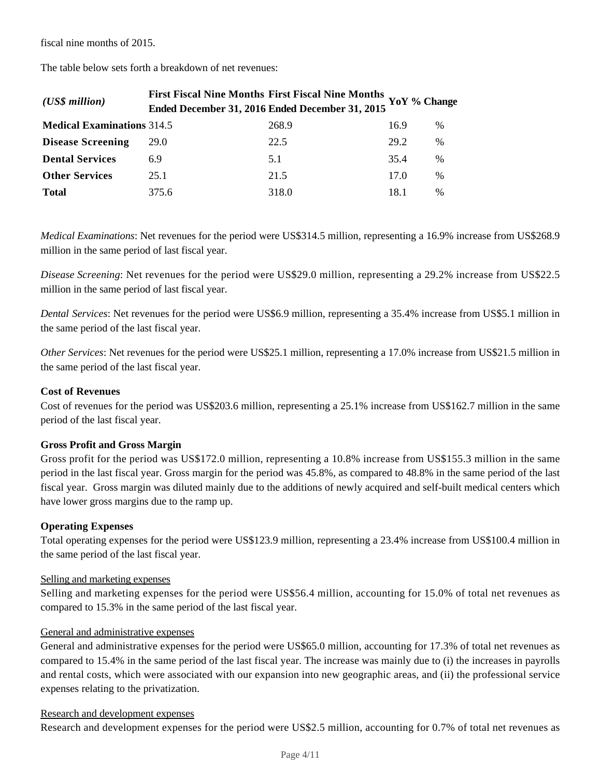fiscal nine months of 2015.

| $(US\$ s million                  | First Fiscal Nine Months First Fiscal Nine Months YoY % Change | Ended December 31, 2016 Ended December 31, 2015 |      |               |
|-----------------------------------|----------------------------------------------------------------|-------------------------------------------------|------|---------------|
| <b>Medical Examinations 314.5</b> |                                                                | 268.9                                           | 16.9 | %             |
| <b>Disease Screening</b>          | 29.0                                                           | 22.5                                            | 29.2 | %             |
| <b>Dental Services</b>            | 6.9                                                            | 5.1                                             | 35.4 | $\%$          |
| <b>Other Services</b>             | 25.1                                                           | 21.5                                            | 17.0 | %             |
| <b>Total</b>                      | 375.6                                                          | 318.0                                           | 18.1 | $\frac{0}{0}$ |

The table below sets forth a breakdown of net revenues:

*Medical Examinations*: Net revenues for the period were US\$314.5 million, representing a 16.9% increase from US\$268.9 million in the same period of last fiscal year.

*Disease Screening*: Net revenues for the period were US\$29.0 million, representing a 29.2% increase from US\$22.5 million in the same period of last fiscal year.

*Dental Services*: Net revenues for the period were US\$6.9 million, representing a 35.4% increase from US\$5.1 million in the same period of the last fiscal year.

*Other Services*: Net revenues for the period were US\$25.1 million, representing a 17.0% increase from US\$21.5 million in the same period of the last fiscal year.

#### **Cost of Revenues**

Cost of revenues for the period was US\$203.6 million, representing a 25.1% increase from US\$162.7 million in the same period of the last fiscal year.

#### **Gross Profit and Gross Margin**

Gross profit for the period was US\$172.0 million, representing a 10.8% increase from US\$155.3 million in the same period in the last fiscal year. Gross margin for the period was 45.8%, as compared to 48.8% in the same period of the last fiscal year. Gross margin was diluted mainly due to the additions of newly acquired and self-built medical centers which have lower gross margins due to the ramp up.

#### **Operating Expenses**

Total operating expenses for the period were US\$123.9 million, representing a 23.4% increase from US\$100.4 million in the same period of the last fiscal year.

#### Selling and marketing expenses

Selling and marketing expenses for the period were US\$56.4 million, accounting for 15.0% of total net revenues as compared to 15.3% in the same period of the last fiscal year.

#### General and administrative expenses

General and administrative expenses for the period were US\$65.0 million, accounting for 17.3% of total net revenues as compared to 15.4% in the same period of the last fiscal year. The increase was mainly due to (i) the increases in payrolls and rental costs, which were associated with our expansion into new geographic areas, and (ii) the professional service expenses relating to the privatization.

### Research and development expenses

Research and development expenses for the period were US\$2.5 million, accounting for 0.7% of total net revenues as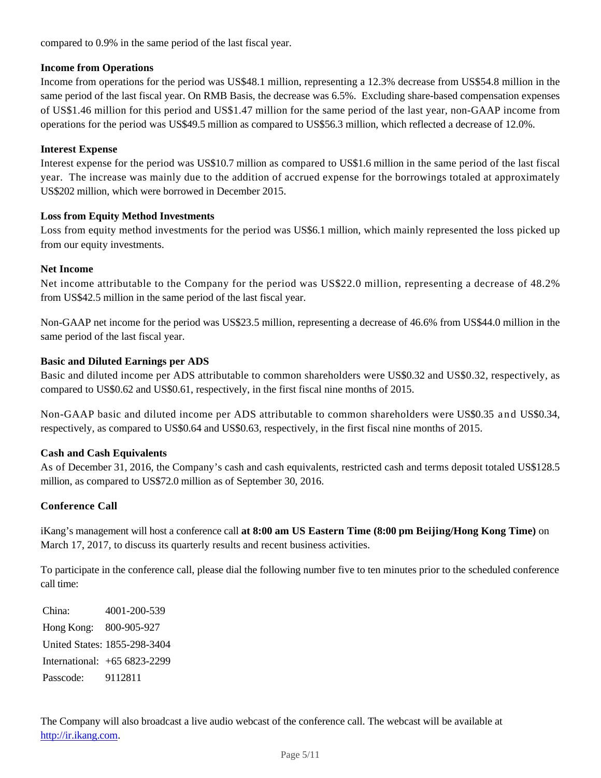compared to 0.9% in the same period of the last fiscal year.

### **Income from Operations**

Income from operations for the period was US\$48.1 million, representing a 12.3% decrease from US\$54.8 million in the same period of the last fiscal year. On RMB Basis, the decrease was 6.5%. Excluding share-based compensation expenses of US\$1.46 million for this period and US\$1.47 million for the same period of the last year, non-GAAP income from operations for the period was US\$49.5 million as compared to US\$56.3 million, which reflected a decrease of 12.0%.

## **Interest Expense**

Interest expense for the period was US\$10.7 million as compared to US\$1.6 million in the same period of the last fiscal year. The increase was mainly due to the addition of accrued expense for the borrowings totaled at approximately US\$202 million, which were borrowed in December 2015.

## **Loss from Equity Method Investments**

Loss from equity method investments for the period was US\$6.1 million, which mainly represented the loss picked up from our equity investments.

#### **Net Income**

Net income attributable to the Company for the period was US\$22.0 million, representing a decrease of 48.2% from US\$42.5 million in the same period of the last fiscal year.

Non-GAAP net income for the period was US\$23.5 million, representing a decrease of 46.6% from US\$44.0 million in the same period of the last fiscal year.

## **Basic and Diluted Earnings per ADS**

Basic and diluted income per ADS attributable to common shareholders were US\$0.32 and US\$0.32, respectively, as compared to US\$0.62 and US\$0.61, respectively, in the first fiscal nine months of 2015.

Non-GAAP basic and diluted income per ADS attributable to common shareholders were US\$0.35 and US\$0.34, respectively, as compared to US\$0.64 and US\$0.63, respectively, in the first fiscal nine months of 2015.

## **Cash and Cash Equivalents**

As of December 31, 2016, the Company's cash and cash equivalents, restricted cash and terms deposit totaled US\$128.5 million, as compared to US\$72.0 million as of September 30, 2016.

#### **Conference Call**

iKang's management will host a conference call **at 8:00 am US Eastern Time (8:00 pm Beijing/Hong Kong Time)** on March 17, 2017, to discuss its quarterly results and recent business activities.

To participate in the conference call, please dial the following number five to ten minutes prior to the scheduled conference call time:

China: 4001-200-539 Hong Kong: 800-905-927 United States: 1855-298-3404 International: +65 6823-2299 Passcode: 9112811

The Company will also broadcast a live audio webcast of the conference call. The webcast will be available at http://ir.ikang.com.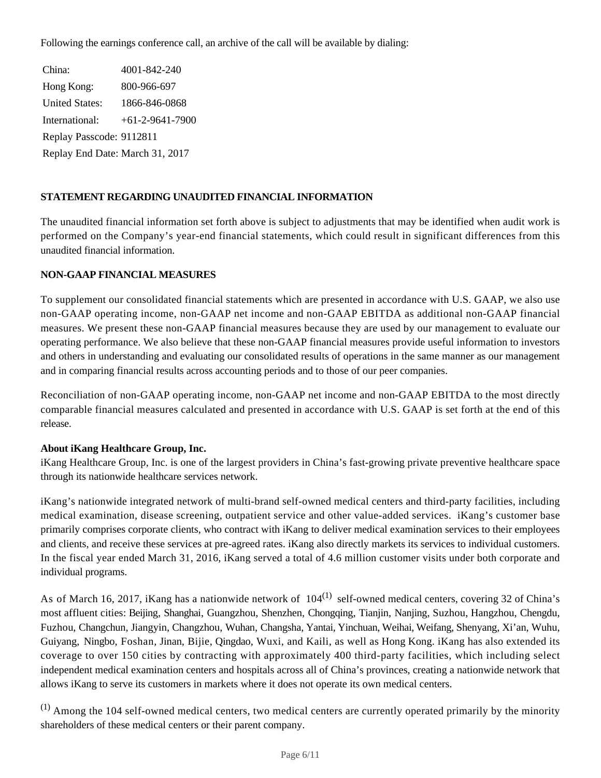Following the earnings conference call, an archive of the call will be available by dialing:

China: 4001-842-240 Hong Kong: 800-966-697 United States: 1866-846-0868 International: +61-2-9641-7900 Replay Passcode: 9112811 Replay End Date: March 31, 2017

## **STATEMENT REGARDING UNAUDITED FINANCIAL INFORMATION**

The unaudited financial information set forth above is subject to adjustments that may be identified when audit work is performed on the Company's year-end financial statements, which could result in significant differences from this unaudited financial information.

## **NON-GAAP FINANCIAL MEASURES**

To supplement our consolidated financial statements which are presented in accordance with U.S. GAAP, we also use non-GAAP operating income, non-GAAP net income and non-GAAP EBITDA as additional non-GAAP financial measures. We present these non-GAAP financial measures because they are used by our management to evaluate our operating performance. We also believe that these non-GAAP financial measures provide useful information to investors and others in understanding and evaluating our consolidated results of operations in the same manner as our management and in comparing financial results across accounting periods and to those of our peer companies.

Reconciliation of non-GAAP operating income, non-GAAP net income and non-GAAP EBITDA to the most directly comparable financial measures calculated and presented in accordance with U.S. GAAP is set forth at the end of this release.

## **About iKang Healthcare Group, Inc.**

iKang Healthcare Group, Inc. is one of the largest providers in China's fast-growing private preventive healthcare space through its nationwide healthcare services network.

iKang's nationwide integrated network of multi-brand self-owned medical centers and third-party facilities, including medical examination, disease screening, outpatient service and other value-added services. iKang's customer base primarily comprises corporate clients, who contract with iKang to deliver medical examination services to their employees and clients, and receive these services at pre-agreed rates. iKang also directly markets its services to individual customers. In the fiscal year ended March 31, 2016, iKang served a total of 4.6 million customer visits under both corporate and individual programs.

As of March 16, 2017, iKang has a nationwide network of  $104^{(1)}$  self-owned medical centers, covering 32 of China's most affluent cities: Beijing, Shanghai, Guangzhou, Shenzhen, Chongqing, Tianjin, Nanjing, Suzhou, Hangzhou, Chengdu, Fuzhou, Changchun, Jiangyin, Changzhou, Wuhan, Changsha, Yantai, Yinchuan, Weihai, Weifang, Shenyang, Xi'an, Wuhu, Guiyang, Ningbo, Foshan, Jinan, Bijie, Qingdao, Wuxi, and Kaili, as well as Hong Kong. iKang has also extended its coverage to over 150 cities by contracting with approximately 400 third-party facilities, which including select independent medical examination centers and hospitals across all of China's provinces, creating a nationwide network that allows iKang to serve its customers in markets where it does not operate its own medical centers.

 $(1)$  Among the 104 self-owned medical centers, two medical centers are currently operated primarily by the minority shareholders of these medical centers or their parent company.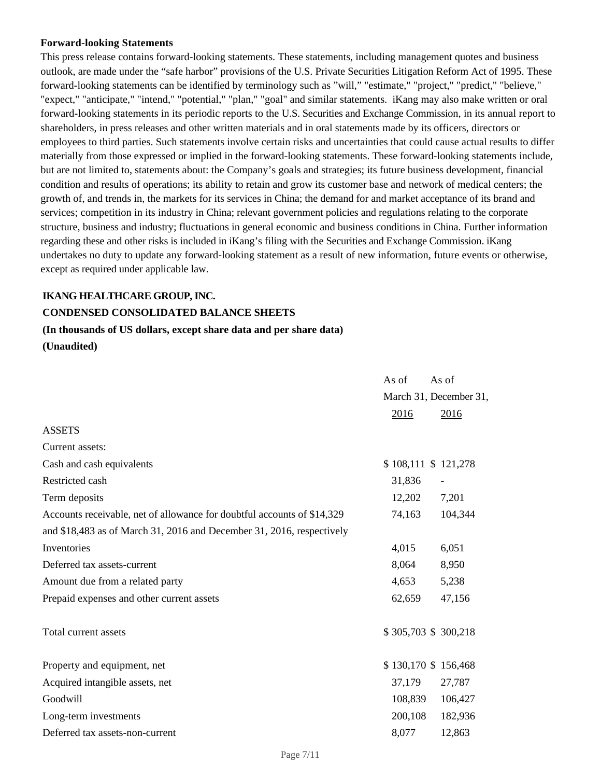#### **Forward-looking Statements**

This press release contains forward-looking statements. These statements, including management quotes and business outlook, are made under the "safe harbor" provisions of the U.S. Private Securities Litigation Reform Act of 1995. These forward-looking statements can be identified by terminology such as "will," "estimate," "project," "predict," "believe," "expect," "anticipate," "intend," "potential," "plan," "goal" and similar statements. iKang may also make written or oral forward-looking statements in its periodic reports to the U.S. Securities and Exchange Commission, in its annual report to shareholders, in press releases and other written materials and in oral statements made by its officers, directors or employees to third parties. Such statements involve certain risks and uncertainties that could cause actual results to differ materially from those expressed or implied in the forward-looking statements. These forward-looking statements include, but are not limited to, statements about: the Company's goals and strategies; its future business development, financial condition and results of operations; its ability to retain and grow its customer base and network of medical centers; the growth of, and trends in, the markets for its services in China; the demand for and market acceptance of its brand and services; competition in its industry in China; relevant government policies and regulations relating to the corporate structure, business and industry; fluctuations in general economic and business conditions in China. Further information regarding these and other risks is included in iKang's filing with the Securities and Exchange Commission. iKang undertakes no duty to update any forward-looking statement as a result of new information, future events or otherwise, except as required under applicable law.

#### **IKANG HEALTHCARE GROUP, INC.**

# **CONDENSED CONSOLIDATED BALANCE SHEETS**

#### **(In thousands of US dollars, except share data and per share data)**

**(Unaudited)**

|                                                                         | As of                  | As of   |
|-------------------------------------------------------------------------|------------------------|---------|
|                                                                         | March 31, December 31, |         |
|                                                                         | 2016                   | 2016    |
| <b>ASSETS</b>                                                           |                        |         |
| Current assets:                                                         |                        |         |
| Cash and cash equivalents                                               | \$108,111 \$121,278    |         |
| Restricted cash                                                         | 31,836                 |         |
| Term deposits                                                           | 12,202                 | 7,201   |
| Accounts receivable, net of allowance for doubtful accounts of \$14,329 | 74,163                 | 104,344 |
| and \$18,483 as of March 31, 2016 and December 31, 2016, respectively   |                        |         |
| Inventories                                                             | 4,015                  | 6,051   |
| Deferred tax assets-current                                             | 8,064                  | 8,950   |
| Amount due from a related party                                         | 4,653                  | 5,238   |
| Prepaid expenses and other current assets                               | 62,659                 | 47,156  |
| Total current assets                                                    | \$305,703 \$300,218    |         |
| Property and equipment, net                                             | \$130,170 \$156,468    |         |
| Acquired intangible assets, net                                         | 37,179                 | 27,787  |
| Goodwill                                                                | 108,839                | 106,427 |
| Long-term investments                                                   | 200,108                | 182,936 |
| Deferred tax assets-non-current                                         | 8,077                  | 12,863  |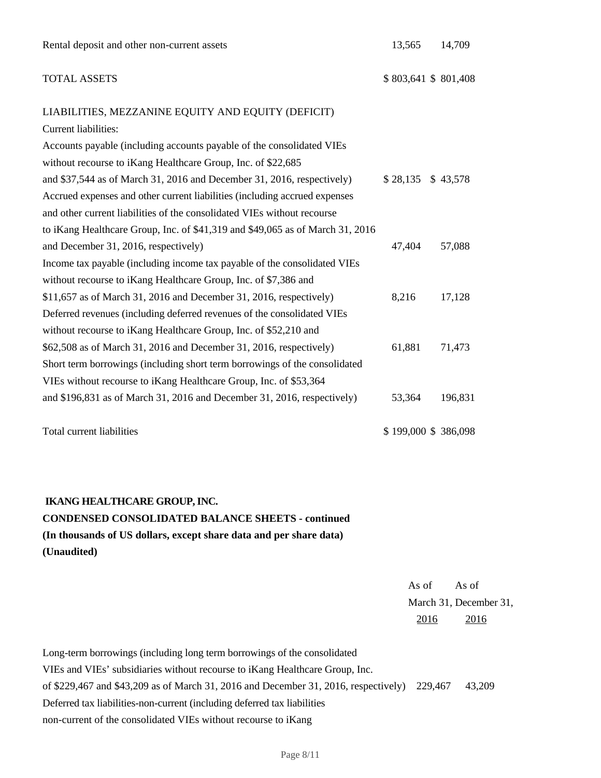## TOTAL ASSETS \$803,641 \$801,408

## LIABILITIES, MEZZANINE EQUITY AND EQUITY (DEFICIT)

| Current liabilities:                                                          |        |                     |
|-------------------------------------------------------------------------------|--------|---------------------|
| Accounts payable (including accounts payable of the consolidated VIEs         |        |                     |
| without recourse to iKang Healthcare Group, Inc. of \$22,685                  |        |                     |
| and \$37,544 as of March 31, 2016 and December 31, 2016, respectively)        |        | $$28,135$ $$43,578$ |
| Accrued expenses and other current liabilities (including accrued expenses    |        |                     |
| and other current liabilities of the consolidated VIEs without recourse       |        |                     |
| to iKang Healthcare Group, Inc. of \$41,319 and \$49,065 as of March 31, 2016 |        |                     |
| and December 31, 2016, respectively)                                          | 47,404 | 57,088              |
| Income tax payable (including income tax payable of the consolidated VIEs     |        |                     |
| without recourse to iKang Healthcare Group, Inc. of \$7,386 and               |        |                     |
| $$11,657$ as of March 31, 2016 and December 31, 2016, respectively)           | 8,216  | 17,128              |
| Deferred revenues (including deferred revenues of the consolidated VIEs       |        |                     |
| without recourse to iKang Healthcare Group, Inc. of \$52,210 and              |        |                     |
| \$62,508 as of March 31, 2016 and December 31, 2016, respectively)            | 61,881 | 71,473              |
| Short term borrowings (including short term borrowings of the consolidated    |        |                     |
| VIEs without recourse to iKang Healthcare Group, Inc. of \$53,364             |        |                     |
| and $$196,831$ as of March 31, 2016 and December 31, 2016, respectively)      | 53,364 | 196,831             |
|                                                                               |        |                     |

Total current liabilities  $$ 199,000 $ 386,098$ 

# **IKANG HEALTHCARE GROUP, INC. CONDENSED CONSOLIDATED BALANCE SHEETS - continued (In thousands of US dollars, except share data and per share data) (Unaudited)**

As of As of March 31, December 31, 2016 2016

Long-term borrowings (including long term borrowings of the consolidated VIEs and VIEs' subsidiaries without recourse to iKang Healthcare Group, Inc. of \$229,467 and \$43,209 as of March 31, 2016 and December 31, 2016, respectively) 229,467 43,209 Deferred tax liabilities-non-current (including deferred tax liabilities non-current of the consolidated VIEs without recourse to iKang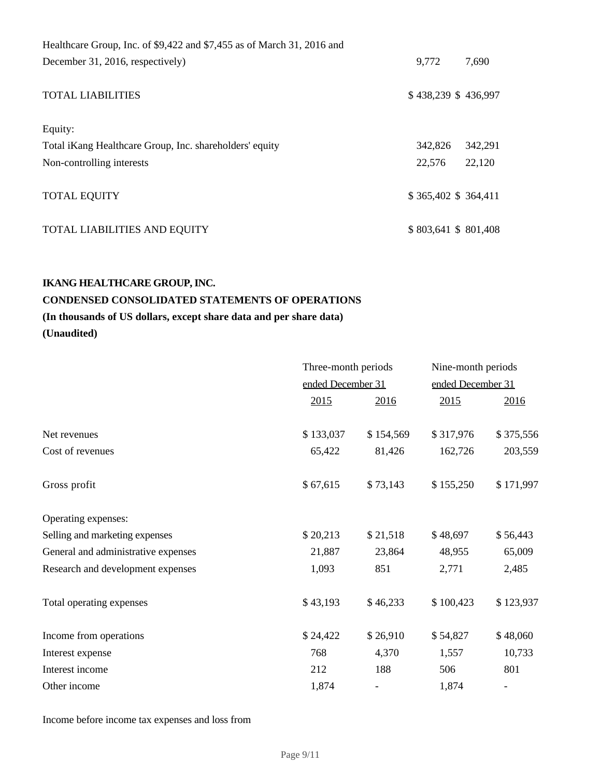| Healthcare Group, Inc. of \$9,422 and \$7,455 as of March 31, 2016 and |         |                     |
|------------------------------------------------------------------------|---------|---------------------|
| December 31, 2016, respectively)                                       | 9,772   | 7,690               |
| <b>TOTAL LIABILITIES</b>                                               |         | \$438,239 \$436,997 |
| Equity:                                                                |         |                     |
| Total iKang Healthcare Group, Inc. shareholders' equity                | 342,826 | 342,291             |
| Non-controlling interests                                              | 22,576  | 22,120              |
| <b>TOTAL EQUITY</b>                                                    |         | \$365,402 \$364,411 |
| TOTAL LIABILITIES AND EQUITY                                           |         | \$803,641 \$801,408 |

## **IKANG HEALTHCARE GROUP, INC.**

# **CONDENSED CONSOLIDATED STATEMENTS OF OPERATIONS**

# **(In thousands of US dollars, except share data and per share data)**

**(Unaudited)**

|                                     |           | Three-month periods<br>ended December 31 |           | Nine-month periods |  |  |
|-------------------------------------|-----------|------------------------------------------|-----------|--------------------|--|--|
|                                     |           |                                          |           | ended December 31  |  |  |
|                                     | 2015      | 2016                                     | 2015      | 2016               |  |  |
| Net revenues                        | \$133,037 | \$154,569                                | \$317,976 | \$375,556          |  |  |
| Cost of revenues                    | 65,422    | 81,426                                   | 162,726   | 203,559            |  |  |
| Gross profit                        | \$67,615  | \$73,143                                 | \$155,250 | \$171,997          |  |  |
| Operating expenses:                 |           |                                          |           |                    |  |  |
| Selling and marketing expenses      | \$20,213  | \$21,518                                 | \$48,697  | \$56,443           |  |  |
| General and administrative expenses | 21,887    | 23,864                                   | 48,955    | 65,009             |  |  |
| Research and development expenses   | 1,093     | 851                                      | 2,771     | 2,485              |  |  |
| Total operating expenses            | \$43,193  | \$46,233                                 | \$100,423 | \$123,937          |  |  |
| Income from operations              | \$24,422  | \$26,910                                 | \$54,827  | \$48,060           |  |  |
| Interest expense                    | 768       | 4,370                                    | 1,557     | 10,733             |  |  |
| Interest income                     | 212       | 188                                      | 506       | 801                |  |  |
| Other income                        | 1,874     |                                          | 1,874     |                    |  |  |
|                                     |           |                                          |           |                    |  |  |

Income before income tax expenses and loss from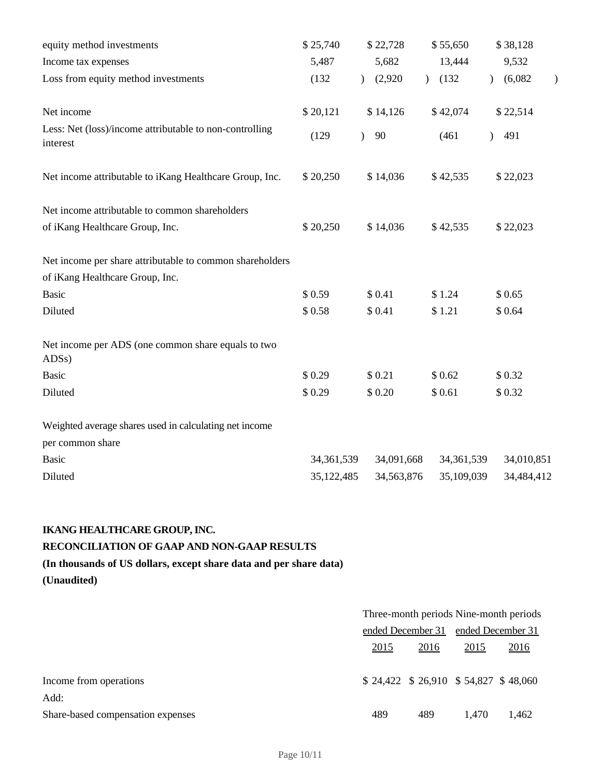| equity method investments                                                | \$25,740     | \$22,728                 | \$55,650     | \$38,128                                  |
|--------------------------------------------------------------------------|--------------|--------------------------|--------------|-------------------------------------------|
| Income tax expenses                                                      | 5,487        | 5,682                    | 13,444       | 9,532                                     |
| Loss from equity method investments                                      | (132)        | (2,920)<br>$\mathcal{L}$ | (132)        | (6,082)<br>$\mathcal{L}$<br>$\mathcal{E}$ |
| Net income                                                               | \$20,121     | \$14,126                 | \$42,074     | \$22,514                                  |
| Less: Net (loss)/income attributable to non-controlling<br>interest      | (129)        | 90<br>$\mathcal{L}$      | (461)        | 491<br>$\lambda$                          |
| Net income attributable to iKang Healthcare Group, Inc.                  | \$20,250     | \$14,036                 | \$42,535     | \$22,023                                  |
| Net income attributable to common shareholders                           |              |                          |              |                                           |
| of iKang Healthcare Group, Inc.                                          | \$20,250     | \$14,036                 | \$42,535     | \$22,023                                  |
| Net income per share attributable to common shareholders                 |              |                          |              |                                           |
| of iKang Healthcare Group, Inc.                                          |              |                          |              |                                           |
| <b>Basic</b>                                                             | \$0.59       | \$0.41                   | \$1.24       | \$0.65                                    |
| Diluted                                                                  | \$0.58       | \$0.41                   | \$1.21       | \$0.64                                    |
| Net income per ADS (one common share equals to two<br>ADS <sub>s</sub> ) |              |                          |              |                                           |
| <b>Basic</b>                                                             | \$0.29       | \$0.21                   | \$0.62       | \$0.32                                    |
| Diluted                                                                  | \$0.29       | \$0.20                   | \$0.61       | \$0.32                                    |
| Weighted average shares used in calculating net income                   |              |                          |              |                                           |
| per common share                                                         |              |                          |              |                                           |
| <b>Basic</b>                                                             | 34, 361, 539 | 34,091,668               | 34, 361, 539 | 34,010,851                                |
| Diluted                                                                  | 35,122,485   | 34,563,876               | 35,109,039   | 34,484,412                                |

# **IKANG HEALTHCARE GROUP, INC.**

# **RECONCILIATION OF GAAP AND NON-GAAP RESULTS**

**(In thousands of US dollars, except share data and per share data)**

**(Unaudited)**

|                                   | Three-month periods Nine-month periods |                                         |                   |       |
|-----------------------------------|----------------------------------------|-----------------------------------------|-------------------|-------|
|                                   | ended December 31                      |                                         | ended December 31 |       |
|                                   | 2015<br><u>2016</u>                    |                                         | <u>2015</u>       | 2016  |
|                                   |                                        |                                         |                   |       |
| Income from operations            |                                        | $$24,422$ $$26,910$ $$54,827$ $$48,060$ |                   |       |
| Add:                              |                                        |                                         |                   |       |
| Share-based compensation expenses | 489                                    | 489                                     | 1.470             | 1,462 |